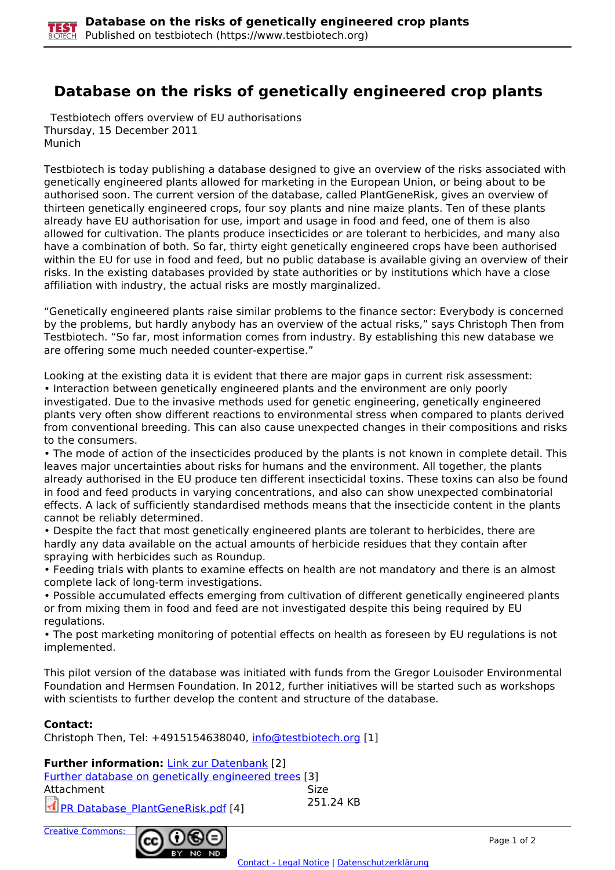

## **Database on the risks of genetically engineered crop plants**

 Testbiotech offers overview of EU authorisations Thursday, 15 December 2011 Munich

Testbiotech is today publishing a database designed to give an overview of the risks associated with genetically engineered plants allowed for marketing in the European Union, or being about to be authorised soon. The current version of the database, called PlantGeneRisk, gives an overview of thirteen genetically engineered crops, four soy plants and nine maize plants. Ten of these plants already have EU authorisation for use, import and usage in food and feed, one of them is also allowed for cultivation. The plants produce insecticides or are tolerant to herbicides, and many also have a combination of both. So far, thirty eight genetically engineered crops have been authorised within the EU for use in food and feed, but no public database is available giving an overview of their risks. In the existing databases provided by state authorities or by institutions which have a close affiliation with industry, the actual risks are mostly marginalized.

"Genetically engineered plants raise similar problems to the finance sector: Everybody is concerned by the problems, but hardly anybody has an overview of the actual risks," says Christoph Then from Testbiotech. "So far, most information comes from industry. By establishing this new database we are offering some much needed counter-expertise."

Looking at the existing data it is evident that there are major gaps in current risk assessment: • Interaction between genetically engineered plants and the environment are only poorly investigated. Due to the invasive methods used for genetic engineering, genetically engineered plants very often show different reactions to environmental stress when compared to plants derived from conventional breeding. This can also cause unexpected changes in their compositions and risks to the consumers.

• The mode of action of the insecticides produced by the plants is not known in complete detail. This leaves major uncertainties about risks for humans and the environment. All together, the plants already authorised in the EU produce ten different insecticidal toxins. These toxins can also be found in food and feed products in varying concentrations, and also can show unexpected combinatorial effects. A lack of sufficiently standardised methods means that the insecticide content in the plants cannot be reliably determined.

• Despite the fact that most genetically engineered plants are tolerant to herbicides, there are hardly any data available on the actual amounts of herbicide residues that they contain after spraying with herbicides such as Roundup.

• Feeding trials with plants to examine effects on health are not mandatory and there is an almost complete lack of long-term investigations.

• Possible accumulated effects emerging from cultivation of different genetically engineered plants or from mixing them in food and feed are not investigated despite this being required by EU regulations.

• The post marketing monitoring of potential effects on health as foreseen by EU regulations is not implemented.

This pilot version of the database was initiated with funds from the Gregor Louisoder Environmental Foundation and Hermsen Foundation. In 2012, further initiatives will be started such as workshops with scientists to further develop the content and structure of the database.

## **Contact:**

Christoph Then, Tel: +4915154638040, [info@testbiotech.org](mailto:info@testbiotech.org) [1]

## **Further information: Link zur Datenbank [2]**

Further database on genetically engineered trees [3] Attachment Size PR Database\_PlantGeneRisk.pdf [4] 251.24 KB